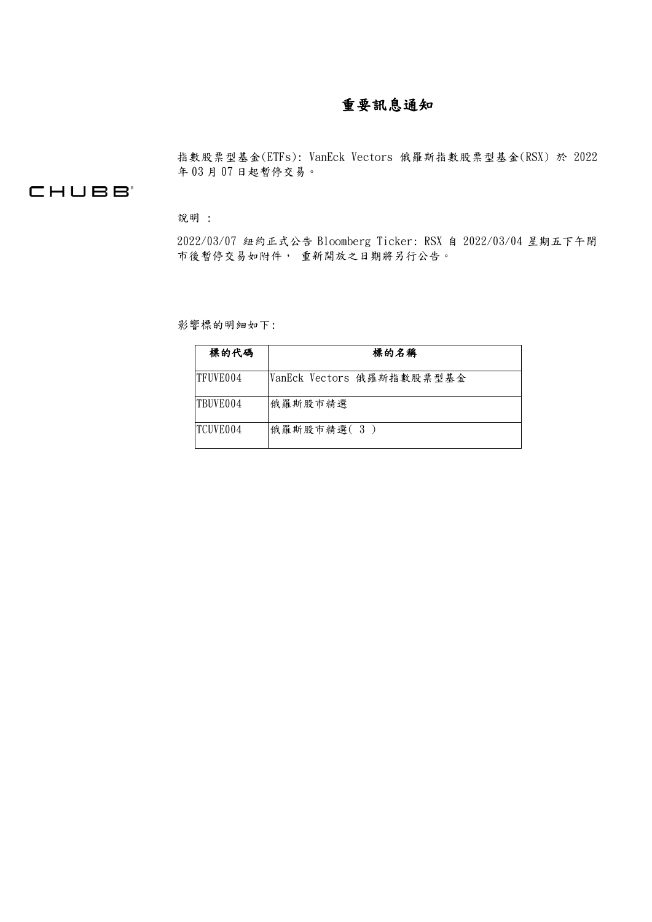# 重要訊息通知

指數股票型基金(ETFs): VanEck Vectors 俄羅斯指數股票型基金(RSX) 於 2022 年 03 月 07 日起暫停交易。

## **CHUBB**

說明 :

2022/03/07 紐約正式公告 Bloomberg Ticker: RSX 自 2022/03/04 星期五下午閉 市後暫停交易如附件, 重新開放之日期將另行公告。

影響標的明細如下:

| 標的代碼      | 標的名稱                      |
|-----------|---------------------------|
| ITFUVE004 | VanEck Vectors 俄羅斯指數股票型基金 |
| TBUVE004  | 俄羅斯股市精選                   |
| ITCHVE004 | 俄羅斯股市精選(3)                |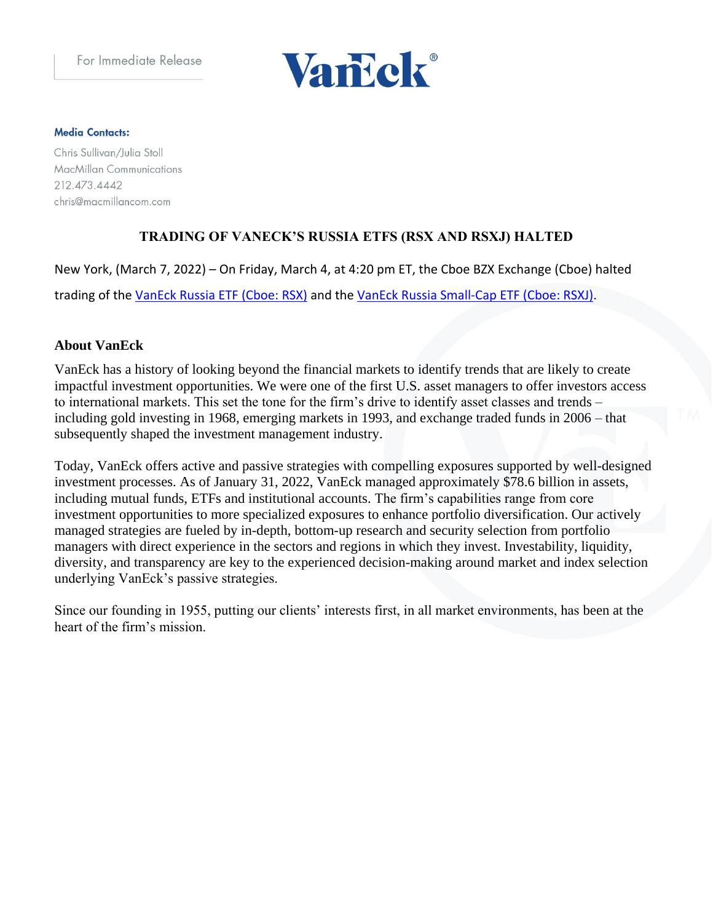

#### **Media Contacts:**

Chris Sullivan/Julia Stoll MacMillan Communications 212.473.4442 chris@macmillancom.com

### **TRADING OF VANECK'S RUSSIA ETFS (RSX AND RSXJ) HALTED**

New York, (March 7, 2022) – On Friday, March 4, at 4:20 pm ET, the Cboe BZX Exchange (Cboe) halted trading of the [VanEck Russia ETF \(Cboe: RSX\)](https://www.vaneck.com/us/en/investments/russia-etf-rsx/?utm_source=veg&utm_medium=pressrelease&utm_campaign=rsx-rsxj) and the [VanEck Russia Small-Cap ETF \(Cboe: RSXJ\).](https://www.vaneck.com/us/en/investments/russia-small-cap-etf-rsxj/?utm_source=veg&utm_medium=pressrelease&utm_campaign=rsx-rsxj)

### **About VanEck**

VanEck has a history of looking beyond the financial markets to identify trends that are likely to create impactful investment opportunities. We were one of the first U.S. asset managers to offer investors access to international markets. This set the tone for the firm's drive to identify asset classes and trends – including gold investing in 1968, emerging markets in 1993, and exchange traded funds in 2006 – that subsequently shaped the investment management industry.

Today, VanEck offers active and passive strategies with compelling exposures supported by well-designed investment processes. As of January 31, 2022, VanEck managed approximately \$78.6 billion in assets, including mutual funds, ETFs and institutional accounts. The firm's capabilities range from core investment opportunities to more specialized exposures to enhance portfolio diversification. Our actively managed strategies are fueled by in-depth, bottom-up research and security selection from portfolio managers with direct experience in the sectors and regions in which they invest. Investability, liquidity, diversity, and transparency are key to the experienced decision-making around market and index selection underlying VanEck's passive strategies.

Since our founding in 1955, putting our clients' interests first, in all market environments, has been at the heart of the firm's mission.